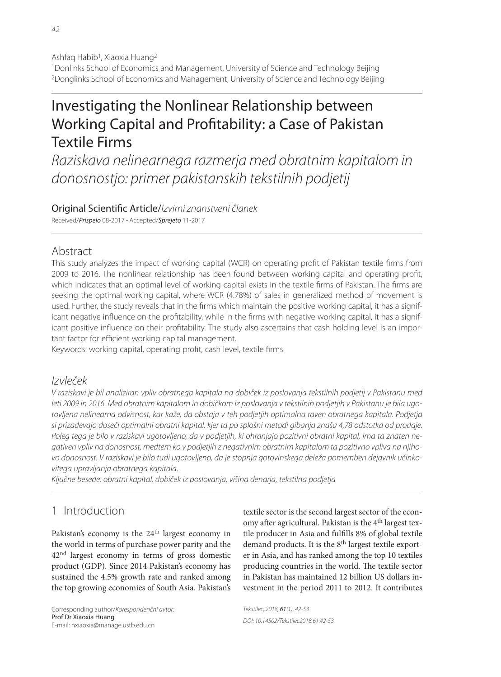Ashfaq Habib<sup>1</sup>, Xiaoxia Huang<sup>2</sup> 1Donlinks School of Economics and Management, University of Science and Technology Beijing 2Donglinks School of Economics and Management, University of Science and Technology Beijing

# Investigating the Nonlinear Relationship between Working Capital and Profitability: a Case of Pakistan Textile Firms

Raziskava nelinearnega razmerja med obratnim kapitalom in donosnostjo: primer pakistanskih tekstilnih podjetij

# Original Scientific Article/Izvirni znanstveni članek

Received/Prispelo 08-2017 · Accepted/Sprejeto 11-2017

# Abstract

This study analyzes the impact of working capital (WCR) on operating profit of Pakistan textile firms from 2009 to 2016. The nonlinear relationship has been found between working capital and operating profit, which indicates that an optimal level of working capital exists in the textile firms of Pakistan. The firms are seeking the optimal working capital, where WCR (4.78%) of sales in generalized method of movement is used. Further, the study reveals that in the firms which maintain the positive working capital, it has a significant negative influence on the profitability, while in the firms with negative working capital, it has a significant positive influence on their profitability. The study also ascertains that cash holding level is an important factor for efficient working capital management.

Keywords: working capital, operating profit, cash level, textile firms

# Izvleček

V raziskavi je bil analiziran vpliv obratnega kapitala na dobiček iz poslovanja tekstilnih podjetij v Pakistanu med leti 2009 in 2016. Med obratnim kapitalom in dobičkom iz poslovanja v tekstilnih podjetjih v Pakistanu je bila ugotovljena nelinearna odvisnost, kar kaže, da obstaja v teh podjetjih optimalna raven obratnega kapitala. Podjetja si prizadevajo doseči optimalni obratni kapital, kjer ta po splošni metodi gibanja znaša 4,78 odstotka od prodaje. Poleg tega je bilo v raziskavi ugotovljeno, da v podjetjih, ki ohranjajo pozitivni obratni kapital, ima ta znaten negativen vpliv na donosnost, medtem ko v podjetjih z negativnim obratnim kapitalom ta pozitivno vpliva na njihovo donosnost. V raziskavi je bilo tudi ugotovljeno, da je stopnja gotovinskega deleža pomemben dejavnik učinkovitega upravljanja obratnega kapitala.

Ključne besede: obratni kapital, dobiček iz poslovanja, višina denarja, tekstilna podjetja

# 1 Introduction

Pakistan's economy is the 24th largest economy in the world in terms of purchase power parity and the 42nd largest economy in terms of gross domestic product (GDP). Since 2014 Pakistan's economy has sustained the 4.5% growth rate and ranked among the top growing economies of South Asia. Pakistan's

Corresponding author/Korespondenčni avtor: Prof Dr Xiaoxia Huang E-mail: hxiaoxia@manage.ustb.edu.cn

textile sector is the second largest sector of the economy after agricultural. Pakistan is the 4<sup>th</sup> largest textile producer in Asia and fulfills 8% of global textile demand products. It is the 8<sup>th</sup> largest textile exporter in Asia, and has ranked among the top 10 textiles producing countries in the world. The textile sector in Pakistan has maintained 12 billion US dollars investment in the period 2011 to 2012. It contributes

Tekstilec, 2018, 61(1), 42-53 Tekstilec, 2018, 61(1), 42-53 DOI: 10.14502/Tekstilec2018.61.42-53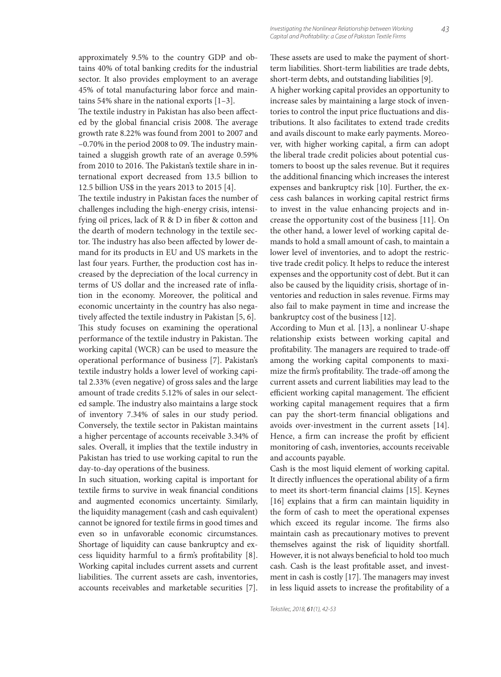approximately 9.5% to the country GDP and obtains 40% of total banking credits for the industrial sector. It also provides employment to an average 45% of total manufacturing labor force and maintains 54% share in the national exports [1–3].

The textile industry in Pakistan has also been affected by the global financial crisis 2008. The average growth rate 8.22% was found from 2001 to 2007 and  $-0.70\%$  in the period 2008 to 09. The industry maintained a sluggish growth rate of an average 0.59% from 2010 to 2016. The Pakistan's textile share in international export decreased from 13.5 billion to 12.5 billion US\$ in the years 2013 to 2015 [4].

The textile industry in Pakistan faces the number of challenges including the high-energy crisis, intensifying oil prices, lack of  $R & D$  in fiber  $\&$  cotton and the dearth of modern technology in the textile sector. The industry has also been affected by lower demand for its products in EU and US markets in the last four years. Further, the production cost has increased by the depreciation of the local currency in terms of US dollar and the increased rate of inflation in the economy. Moreover, the political and economic uncertainty in the country has also negatively affected the textile industry in Pakistan [5, 6]. This study focuses on examining the operational performance of the textile industry in Pakistan. The working capital (WCR) can be used to measure the operational performance of business [7]. Pakistan's textile industry holds a lower level of working capital 2.33% (even negative) of gross sales and the large amount of trade credits 5.12% of sales in our selected sample. The industry also maintains a large stock of inventory 7.34% of sales in our study period. Conversely, the textile sector in Pakistan maintains a higher percentage of accounts receivable 3.34% of sales. Overall, it implies that the textile industry in Pakistan has tried to use working capital to run the day-to-day operations of the business.

In such situation, working capital is important for textile firms to survive in weak financial conditions and augmented economics uncertainty. Similarly, the liquidity management (cash and cash equivalent) cannot be ignored for textile firms in good times and even so in unfavorable economic circumstances. Shortage of liquidity can cause bankruptcy and excess liquidity harmful to a firm's profitability [8]. Working capital includes current assets and current liabilities. The current assets are cash, inventories, accounts receivables and marketable securities [7].

These assets are used to make the payment of shortterm liabilities. Short-term liabilities are trade debts, short-term debts, and outstanding liabilities [9].

A higher working capital provides an opportunity to increase sales by maintaining a large stock of inventories to control the input price fluctuations and distributions. It also facilitates to extend trade credits and avails discount to make early payments. Moreover, with higher working capital, a firm can adopt the liberal trade credit policies about potential customers to boost up the sales revenue. But it requires the additional financing which increases the interest expenses and bankruptcy risk [10]. Further, the excess cash balances in working capital restrict firms to invest in the value enhancing projects and increase the opportunity cost of the business [11]. On the other hand, a lower level of working capital demands to hold a small amount of cash, to maintain a lower level of inventories, and to adopt the restrictive trade credit policy. It helps to reduce the interest expenses and the opportunity cost of debt. But it can also be caused by the liquidity crisis, shortage of inventories and reduction in sales revenue. Firms may also fail to make payment in time and increase the bankruptcy cost of the business [12].

According to Mun et al. [13], a nonlinear U-shape relationship exists between working capital and profitability. The managers are required to trade-off among the working capital components to maximize the firm's profitability. The trade-off among the current assets and current liabilities may lead to the efficient working capital management. The efficient working capital management requires that a firm can pay the short-term financial obligations and avoids over-investment in the current assets [14]. Hence, a firm can increase the profit by efficient monitoring of cash, inventories, accounts receivable and accounts payable.

Cash is the most liquid element of working capital. It directly influences the operational ability of a firm to meet its short-term financial claims [15]. Keynes [16] explains that a firm can maintain liquidity in the form of cash to meet the operational expenses which exceed its regular income. The firms also maintain cash as precautionary motives to prevent themselves against the risk of liquidity shortfall. However, it is not always beneficial to hold too much cash. Cash is the least profitable asset, and investment in cash is costly  $[17]$ . The managers may invest in less liquid assets to increase the profitability of a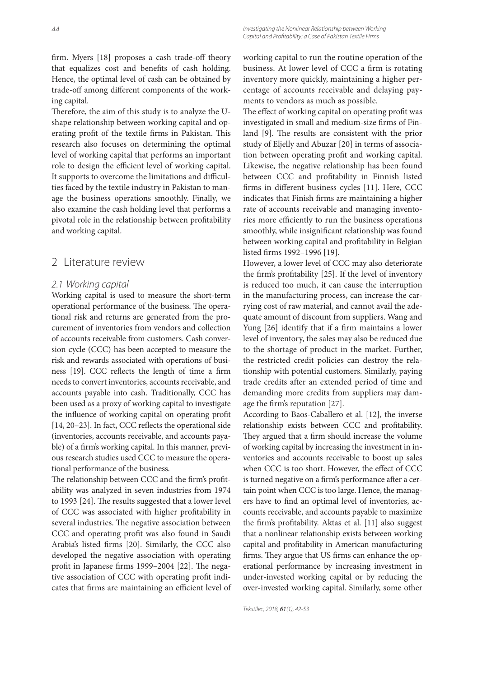firm. Myers [18] proposes a cash trade-off theory that equalizes cost and benefits of cash holding. Hence, the optimal level of cash can be obtained by trade-off among different components of the working capital.

Therefore, the aim of this study is to analyze the Ushape relationship between working capital and operating profit of the textile firms in Pakistan. This research also focuses on determining the optimal level of working capital that performs an important role to design the efficient level of working capital. It supports to overcome the limitations and difficulties faced by the textile industry in Pakistan to manage the business operations smoothly. Finally, we also examine the cash holding level that performs a pivotal role in the relationship between profitability and working capital.

### 2 Literature review

#### 2.1 Working capital

Working capital is used to measure the short-term operational performance of the business. The operational risk and returns are generated from the procurement of inventories from vendors and collection of accounts receivable from customers. Cash conversion cycle (CCC) has been accepted to measure the risk and rewards associated with operations of business [19]. CCC reflects the length of time a firm needs to convert inventories, accounts receivable, and accounts payable into cash. Traditionally, CCC has been used as a proxy of working capital to investigate the influence of working capital on operating profit [14, 20-23]. In fact, CCC reflects the operational side (inventories, accounts receivable, and accounts payable) of a firm's working capital. In this manner, previous research studies used CCC to measure the operational performance of the business.

The relationship between CCC and the firm's profitability was analyzed in seven industries from 1974 to 1993 [24]. The results suggested that a lower level of CCC was associated with higher profitability in several industries. The negative association between CCC and operating profit was also found in Saudi Arabia's listed firms [20]. Similarly, the CCC also developed the negative association with operating profit in Japanese firms 1999–2004 [22]. The negative association of CCC with operating profit indicates that firms are maintaining an efficient level of working capital to run the routine operation of the business. At lower level of CCC a firm is rotating inventory more quickly, maintaining a higher percentage of accounts receivable and delaying payments to vendors as much as possible.

The effect of working capital on operating profit was investigated in small and medium-size firms of Finland [9]. The results are consistent with the prior study of Eljelly and Abuzar [20] in terms of association between operating profit and working capital. Likewise, the negative relationship has been found between CCC and profitability in Finnish listed firms in different business cycles [11]. Here, CCC indicates that Finish firms are maintaining a higher rate of accounts receivable and managing inventories more efficiently to run the business operations smoothly, while insignificant relationship was found between working capital and profitability in Belgian listed firms 1992-1996 [19].

However, a lower level of CCC may also deteriorate the firm's profitability [25]. If the level of inventory is reduced too much, it can cause the interruption in the manufacturing process, can increase the carrying cost of raw material, and cannot avail the adequate amount of discount from suppliers. Wang and Yung [26] identify that if a firm maintains a lower level of inventory, the sales may also be reduced due to the shortage of product in the market. Further, the restricted credit policies can destroy the relationship with potential customers. Similarly, paying trade credits after an extended period of time and demanding more credits from suppliers may damage the firm's reputation [27].

According to Baos-Caballero et al. [12], the inverse relationship exists between CCC and profitability. They argued that a firm should increase the volume of working capital by increasing the investment in inventories and accounts receivable to boost up sales when CCC is too short. However, the effect of CCC is turned negative on a firm's performance after a certain point when CCC is too large. Hence, the managers have to find an optimal level of inventories, accounts receivable, and accounts payable to maximize the firm's profitability. Aktas et al. [11] also suggest that a nonlinear relationship exists between working capital and profitability in American manufacturing firms. They argue that US firms can enhance the operational performance by increasing investment in under-invested working capital or by reducing the over-invested working capital. Similarly, some other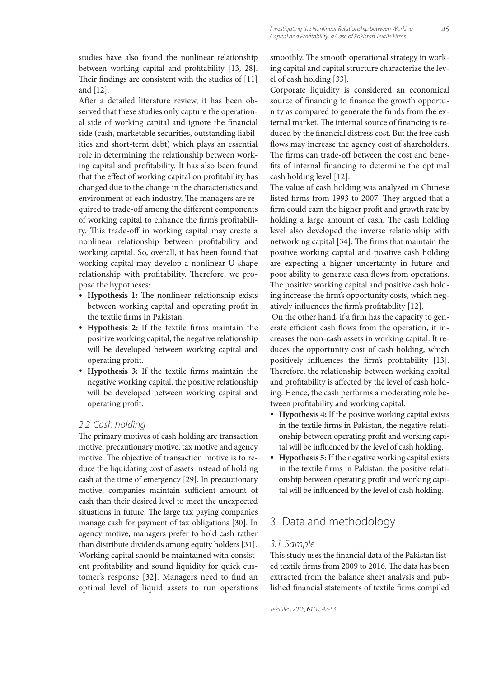studies have also found the nonlinear relationship between working capital and profitability [13, 28]. Their findings are consistent with the studies of  $[11]$ and [12].

After a detailed literature review, it has been observed that these studies only capture the operational side of working capital and ignore the financial side (cash, marketable securities, outstanding liabilities and short-term debt) which plays an essential role in determining the relationship between working capital and profitability. It has also been found that the effect of working capital on profitability has changed due to the change in the characteristics and environment of each industry. The managers are required to trade-off among the different components of working capital to enhance the firm's profitability. This trade-off in working capital may create a nonlinear relationship between profitability and working capital. So, overall, it has been found that working capital may develop a nonlinear U-shape relationship with profitability. Therefore, we propose the hypotheses:

- Hypothesis 1: The nonlinear relationship exists between working capital and operating profit in the textile firms in Pakistan.
- Hypothesis 2: If the textile firms maintain the positive working capital, the negative relationship will be developed between working capital and operating profit.
- Hypothesis 3: If the textile firms maintain the negative working capital, the positive relationship will be developed between working capital and operating profit.

#### 2.2 Cash holding

The primary motives of cash holding are transaction motive, precautionary motive, tax motive and agency motive. The objective of transaction motive is to reduce the liquidating cost of assets instead of holding cash at the time of emergency [29]. In precautionary motive, companies maintain sufficient amount of cash than their desired level to meet the unexpected situations in future. The large tax paying companies manage cash for payment of tax obligations [30]. In agency motive, managers prefer to hold cash rather than distribute dividends among equity holders [31]. Working capital should be maintained with consistent profitability and sound liquidity for quick customer's response [32]. Managers need to find an optimal level of liquid assets to run operations

smoothly. The smooth operational strategy in working capital and capital structure characterize the level of cash holding [33].

Corporate liquidity is considered an economical source of financing to finance the growth opportunity as compared to generate the funds from the external market. The internal source of financing is reduced by the financial distress cost. But the free cash flows may increase the agency cost of shareholders. The firms can trade-off between the cost and benefits of internal financing to determine the optimal cash holding level [12].

The value of cash holding was analyzed in Chinese listed firms from 1993 to 2007. They argued that a firm could earn the higher profit and growth rate by holding a large amount of cash. The cash holding level also developed the inverse relationship with networking capital [34]. The firms that maintain the positive working capital and positive cash holding are expecting a higher uncertainty in future and poor ability to generate cash flows from operations. The positive working capital and positive cash holding increase the firm's opportunity costs, which negatively influences the firm's profitability [12].

On the other hand, if a firm has the capacity to generate efficient cash flows from the operation, it increases the non-cash assets in working capital. It reduces the opportunity cost of cash holding, which positively influences the firm's profitability [13]. Therefore, the relationship between working capital and profitability is affected by the level of cash holding. Hence, the cash performs a moderating role between profitability and working capital.

- **Hypothesis 4:** If the positive working capital exists in the textile firms in Pakistan, the negative relationship between operating profit and working capital will be influenced by the level of cash holding.
- **Hypothesis 5:** If the negative working capital exists in the textile firms in Pakistan, the positive relationship between operating profit and working capital will be influenced by the level of cash holding.

# 3 Data and methodology

#### 3.1 Sample

This study uses the financial data of the Pakistan listed textile firms from 2009 to 2016. The data has been extracted from the balance sheet analysis and published financial statements of textile firms compiled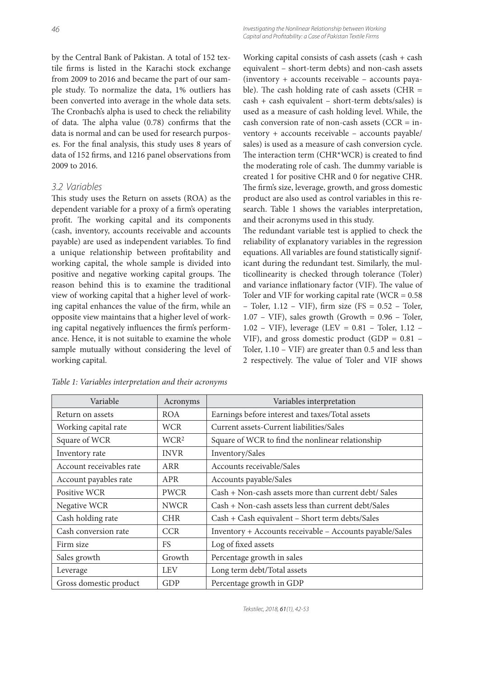46 Investigating the Nonlinear Relationship between Working Capital and Profitability: a Case of Pakistan Textile Firms

by the Central Bank of Pakistan. A total of 152 textile firms is listed in the Karachi stock exchange from 2009 to 2016 and became the part of our sample study. To normalize the data, 1% outliers has been converted into average in the whole data sets. The Cronbach's alpha is used to check the reliability of data. The alpha value  $(0.78)$  confirms that the data is normal and can be used for research purposes. For the final analysis, this study uses 8 years of data of 152 firms, and 1216 panel observations from 2009 to 2016.

#### 3.2 Variables

This study uses the Return on assets (ROA) as the dependent variable for a proxy of a firm's operating profit. The working capital and its components (cash, inventory, accounts receivable and accounts payable) are used as independent variables. To find a unique relationship between profitability and working capital, the whole sample is divided into positive and negative working capital groups. The reason behind this is to examine the traditional view of working capital that a higher level of working capital enhances the value of the firm, while an opposite view maintains that a higher level of working capital negatively influences the firm's performance. Hence, it is not suitable to examine the whole sample mutually without considering the level of working capital.

Working capital consists of cash assets (cash + cash equivalent – short-term debts) and non-cash assets (inventory + accounts receivable – accounts payable). The cash holding rate of cash assets (CHR  $=$ cash + cash equivalent – short-term debts/sales) is used as a measure of cash holding level. While, the cash conversion rate of non-cash assets (CCR = inventory + accounts receivable – accounts payable/ sales) is used as a measure of cash conversion cycle. The interaction term (CHR\*WCR) is created to find the moderating role of cash. The dummy variable is created 1 for positive CHR and 0 for negative CHR. The firm's size, leverage, growth, and gross domestic product are also used as control variables in this research. Table 1 shows the variables interpretation, and their acronyms used in this study.

The redundant variable test is applied to check the reliability of explanatory variables in the regression equations. All variables are found statistically significant during the redundant test. Similarly, the multicollinearity is checked through tolerance (Toler) and variance inflationary factor (VIF). The value of Toler and VIF for working capital rate (WCR  $= 0.58$ ) – Toler,  $1.12$  – VIF), firm size (FS = 0.52 – Toler,  $1.07 - VIF$ ), sales growth (Growth = 0.96 – Toler, 1.02 – VIF), leverage (LEV = 0.81 – Toler, 1.12 – VIF), and gross domestic product (GDP =  $0.81$  – Toler, 1.10 – VIF) are greater than 0.5 and less than 2 respectively. The value of Toler and VIF shows

| Variable                 | Acronyms         | Variables interpretation                                 |
|--------------------------|------------------|----------------------------------------------------------|
| Return on assets         | <b>ROA</b>       | Earnings before interest and taxes/Total assets          |
| Working capital rate     | WCR              | Current assets-Current liabilities/Sales                 |
| Square of WCR            | WCR <sup>2</sup> | Square of WCR to find the nonlinear relationship         |
| Inventory rate           | <b>INVR</b>      | Inventory/Sales                                          |
| Account receivables rate | ARR              | Accounts receivable/Sales                                |
| Account payables rate    | <b>APR</b>       | Accounts payable/Sales                                   |
| Positive WCR             | <b>PWCR</b>      | Cash + Non-cash assets more than current debt/ Sales     |
| Negative WCR             | <b>NWCR</b>      | Cash + Non-cash assets less than current debt/Sales      |
| Cash holding rate        | <b>CHR</b>       | Cash + Cash equivalent - Short term debts/Sales          |
| Cash conversion rate     | <b>CCR</b>       | Inventory + Accounts receivable - Accounts payable/Sales |
| Firm size                | FS.              | Log of fixed assets                                      |
| Sales growth             | Growth           | Percentage growth in sales                               |
| Leverage                 | <b>LEV</b>       | Long term debt/Total assets                              |
| Gross domestic product   | GDP              | Percentage growth in GDP                                 |

*Table 1: Variables interpretation and their acronyms*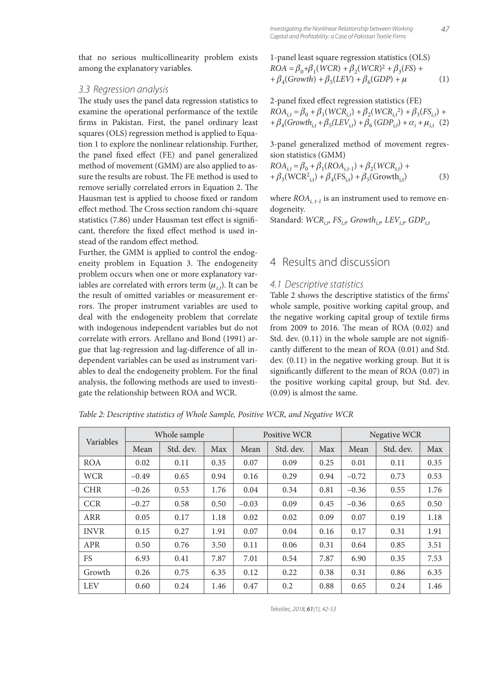that no serious multicollinearity problem exists among the explanatory variables.

#### 3.3 Regression analysis

The study uses the panel data regression statistics to examine the operational performance of the textile firms in Pakistan. First, the panel ordinary least squares (OLS) regression method is applied to Equation 1 to explore the nonlinear relationship. Further, the panel fixed effect (FE) and panel generalized method of movement (GMM) are also applied to assure the results are robust. The FE method is used to remove serially correlated errors in Equation 2. The Hausman test is applied to choose fixed or random effect method. The Cross section random chi-square statistics (7.86) under Hausman test effect is significant, therefore the fixed effect method is used instead of the random effect method.

Further, the GMM is applied to control the endogeneity problem in Equation 3. The endogeneity problem occurs when one or more explanatory variables are correlated with errors term  $(\mu_{i,t})$ . It can be the result of omitted variables or measurement errors. The proper instrument variables are used to deal with the endogeneity problem that correlate with indogenous independent variables but do not correlate with errors. Arellano and Bond (1991) argue that lag-regression and lag-difference of all independent variables can be used as instrument variables to deal the endogeneity problem. For the final analysis, the following methods are used to investigate the relationship between ROA and WCR.

1-panel least square regression statistics (OLS)  $ROA = \beta_0 + \beta_1(WCR) + \beta_2(WCR)^2 + \beta_3(FS) +$  $+ \beta_4(Growth) + \beta_5(LEV) + \beta_6(GDP) + \mu$  (1)

2-panel fixed effect regression statistics (FE)  
\n
$$
ROA_{i,t} = \beta_0 + \beta_1(WCR_{i,t}) + \beta_2(WCR_{i,t}^2) + \beta_3(FS_{i,t}) +
$$
  
\n $+ \beta_4(Growth_{i,t} + \beta_5(LEV_{i,t}) + \beta_6(GDP_{i,t}) + \alpha_i + \mu_{i,t}$  (2)

3-panel generalized method of movement regression statistics (GMM)

$$
ROA_{i,t} = \beta_0 + \beta_1 (ROA_{i,t-1}) + \beta_2 (WCR_{i,t}) ++ \beta_3 (WCR_{i,t}^2) + \beta_4 (FS_{i,t}) + \beta_5 (Growth_{i,t})
$$
(3)

where  $ROA_{i, t-1}$  is an instrument used to remove endogeneity.

Standard:  $WCR_{i,p}$  FS<sub>i,p</sub>, Growth<sub>i,p</sub>, LEV<sub>i,p</sub>, GDP<sub>it</sub>

### 4 Results and discussion

#### 4.1 Descriptive statistics

Table 2 shows the descriptive statistics of the firms' whole sample, positive working capital group, and the negative working capital group of textile firms from 2009 to 2016. The mean of ROA  $(0.02)$  and Std. dev.  $(0.11)$  in the whole sample are not significantly different to the mean of ROA (0.01) and Std. dev. (0.11) in the negative working group. But it is significantly different to the mean of ROA (0.07) in the positive working capital group, but Std. dev. (0.09) is almost the same.

*Table 2: Descriptive statistics of Whole Sample, Positive WCR, and Negative WCR*

| Variables   | Whole sample |           |      |         | Positive WCR |      | Negative WCR |           |      |
|-------------|--------------|-----------|------|---------|--------------|------|--------------|-----------|------|
|             | Mean         | Std. dev. | Max  | Mean    | Std. dev.    | Max  | Mean         | Std. dev. | Max  |
| <b>ROA</b>  | 0.02         | 0.11      | 0.35 | 0.07    | 0.09         | 0.25 | 0.01         | 0.11      | 0.35 |
| <b>WCR</b>  | $-0.49$      | 0.65      | 0.94 | 0.16    | 0.29         | 0.94 | $-0.72$      | 0.73      | 0.53 |
| <b>CHR</b>  | $-0.26$      | 0.53      | 1.76 | 0.04    | 0.34         | 0.81 | $-0.36$      | 0.55      | 1.76 |
| <b>CCR</b>  | $-0.27$      | 0.58      | 0.50 | $-0.03$ | 0.09         | 0.45 | $-0.36$      | 0.65      | 0.50 |
| <b>ARR</b>  | 0.05         | 0.17      | 1.18 | 0.02    | 0.02         | 0.09 | 0.07         | 0.19      | 1.18 |
| <b>INVR</b> | 0.15         | 0.27      | 1.91 | 0.07    | 0.04         | 0.16 | 0.17         | 0.31      | 1.91 |
| <b>APR</b>  | 0.50         | 0.76      | 3.50 | 0.11    | 0.06         | 0.31 | 0.64         | 0.85      | 3.51 |
| <b>FS</b>   | 6.93         | 0.41      | 7.87 | 7.01    | 0.54         | 7.87 | 6.90         | 0.35      | 7.53 |
| Growth      | 0.26         | 0.75      | 6.35 | 0.12    | 0.22         | 0.38 | 0.31         | 0.86      | 6.35 |
| <b>LEV</b>  | 0.60         | 0.24      | 1.46 | 0.47    | 0.2          | 0.88 | 0.65         | 0.24      | 1.46 |

Tekstilec, 2018, 61(1), 42-53 Tekstilec, 2018, 61(1), 42-53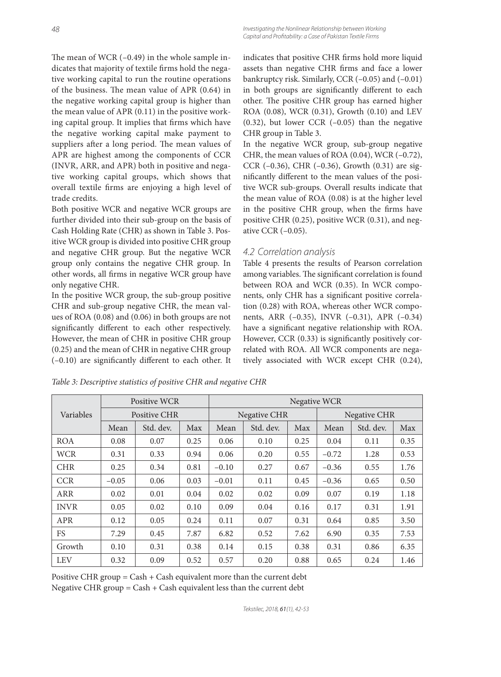The mean of WCR  $(-0.49)$  in the whole sample indicates that majority of textile firms hold the negative working capital to run the routine operations of the business. The mean value of APR  $(0.64)$  in the negative working capital group is higher than the mean value of APR (0.11) in the positive working capital group. It implies that firms which have the negative working capital make payment to suppliers after a long period. The mean values of APR are highest among the components of CCR (INVR, ARR, and APR) both in positive and negative working capital groups, which shows that overall textile firms are enjoying a high level of trade credits.

Both positive WCR and negative WCR groups are further divided into their sub-group on the basis of Cash Holding Rate (CHR) as shown in Table 3. Positive WCR group is divided into positive CHR group and negative CHR group. But the negative WCR group only contains the negative CHR group. In other words, all firms in negative WCR group have only negative CHR.

In the positive WCR group, the sub-group positive CHR and sub-group negative CHR, the mean values of ROA (0.08) and (0.06) in both groups are not significantly different to each other respectively. However, the mean of CHR in positive CHR group (0.25) and the mean of CHR in negative CHR group  $(-0.10)$  are significantly different to each other. It indicates that positive CHR firms hold more liquid assets than negative CHR firms and face a lower bankruptcy risk. Similarly, CCR (–0.05) and (–0.01) in both groups are significantly different to each other. The positive CHR group has earned higher ROA (0.08), WCR (0.31), Growth (0.10) and LEV (0.32), but lower CCR (–0.05) than the negative CHR group in Table 3.

In the negative WCR group, sub-group negative CHR, the mean values of ROA (0.04), WCR (–0.72), CCR (–0.36), CHR (–0.36), Growth (0.31) are significantly different to the mean values of the positive WCR sub-groups. Overall results indicate that the mean value of ROA (0.08) is at the higher level in the positive CHR group, when the firms have positive CHR (0.25), positive WCR (0.31), and negative CCR (–0.05).

#### 4.2 Correlation analysis

Table 4 presents the results of Pearson correlation among variables. The significant correlation is found between ROA and WCR (0.35). In WCR components, only CHR has a significant positive correlation (0.28) with ROA, whereas other WCR components, ARR (–0.35), INVR (–0.31), APR (–0.34) have a significant negative relationship with ROA. However, CCR  $(0.33)$  is significantly positively correlated with ROA. All WCR components are negatively associated with WCR except CHR (0.24),

|             | Positive WCR        |           |      | Negative WCR |              |      |              |           |      |  |  |
|-------------|---------------------|-----------|------|--------------|--------------|------|--------------|-----------|------|--|--|
| Variables   | <b>Positive CHR</b> |           |      |              | Negative CHR |      | Negative CHR |           |      |  |  |
|             | Mean                | Std. dev. | Max  | Mean         | Std. dev.    | Max  | Mean         | Std. dev. | Max  |  |  |
| <b>ROA</b>  | 0.08                | 0.07      | 0.25 | 0.06         | 0.10         | 0.25 | 0.04         | 0.11      | 0.35 |  |  |
| <b>WCR</b>  | 0.31                | 0.33      | 0.94 | 0.06         | 0.20         | 0.55 | $-0.72$      | 1.28      | 0.53 |  |  |
| <b>CHR</b>  | 0.25                | 0.34      | 0.81 | $-0.10$      | 0.27         | 0.67 | $-0.36$      | 0.55      | 1.76 |  |  |
| <b>CCR</b>  | $-0.05$             | 0.06      | 0.03 | $-0.01$      | 0.11         | 0.45 | $-0.36$      | 0.65      | 0.50 |  |  |
| <b>ARR</b>  | 0.02                | 0.01      | 0.04 | 0.02         | 0.02         | 0.09 | 0.07         | 0.19      | 1.18 |  |  |
| <b>INVR</b> | 0.05                | 0.02      | 0.10 | 0.09         | 0.04         | 0.16 | 0.17         | 0.31      | 1.91 |  |  |
| <b>APR</b>  | 0.12                | 0.05      | 0.24 | 0.11         | 0.07         | 0.31 | 0.64         | 0.85      | 3.50 |  |  |
| <b>FS</b>   | 7.29                | 0.45      | 7.87 | 6.82         | 0.52         | 7.62 | 6.90         | 0.35      | 7.53 |  |  |
| Growth      | 0.10                | 0.31      | 0.38 | 0.14         | 0.15         | 0.38 | 0.31         | 0.86      | 6.35 |  |  |
| <b>LEV</b>  | 0.32                | 0.09      | 0.52 | 0.57         | 0.20         | 0.88 | 0.65         | 0.24      | 1.46 |  |  |

*Table 3: Descriptive statistics of positive CHR and negative CHR*

Positive CHR group =  $Cash + Cash$  equivalent more than the current debt Negative CHR group  $=$  Cash  $+$  Cash equivalent less than the current debt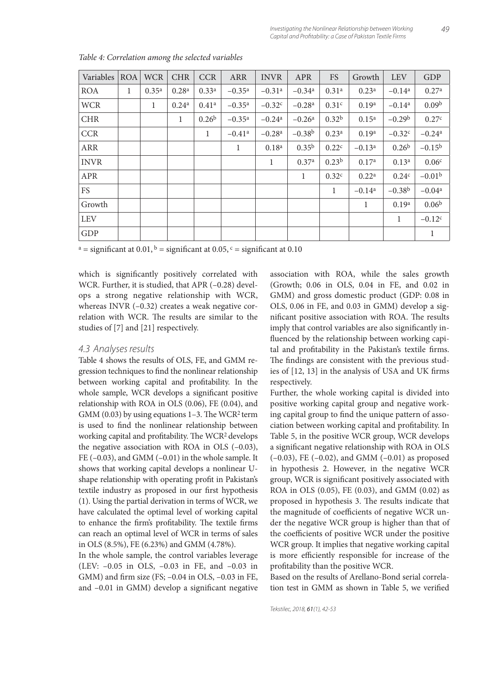| Variables   | <b>ROA</b> | <b>WCR</b>        | <b>CHR</b>        | <b>CCR</b>        | <b>ARR</b>           | <b>INVR</b>          | <b>APR</b>           | <b>FS</b>         | Growth            | <b>LEV</b>        | GDP                  |
|-------------|------------|-------------------|-------------------|-------------------|----------------------|----------------------|----------------------|-------------------|-------------------|-------------------|----------------------|
| <b>ROA</b>  | 1          | 0.35 <sup>a</sup> | 0.28 <sup>a</sup> | 0.33 <sup>a</sup> | $-0.35$ <sup>a</sup> | $-0.31$ <sup>a</sup> | $-0.34$ <sup>a</sup> | 0.31 <sup>a</sup> | 0.23 <sup>a</sup> | $-0.14^{\rm a}$   | 0.27 <sup>a</sup>    |
| <b>WCR</b>  |            | 1                 | 0.24 <sup>a</sup> | 0.41 <sup>a</sup> | $-0.35$ <sup>a</sup> | $-0.32$ <sup>c</sup> | $-0.28$ <sup>a</sup> | 0.31 <sup>c</sup> | 0.19 <sup>a</sup> | $-0.14^{\rm a}$   | 0.09 <sup>b</sup>    |
| <b>CHR</b>  |            |                   | 1                 | 0.26 <sup>b</sup> | $-0.35$ <sup>a</sup> | $-0.24$ <sup>a</sup> | $-0.26a$             | 0.32 <sup>b</sup> | 0.15 <sup>a</sup> | $-0.29b$          | 0.27c                |
| <b>CCR</b>  |            |                   |                   | 1                 | $-0.41$ <sup>a</sup> | $-0.28$ <sup>a</sup> | $-0.38^{b}$          | 0.23 <sup>a</sup> | 0.19 <sup>a</sup> | $-0.32c$          | $-0.24$ <sup>a</sup> |
| <b>ARR</b>  |            |                   |                   |                   | 1                    | 0.18 <sup>a</sup>    | 0.35 <sup>b</sup>    | 0.22c             | $-0.13a$          | 0.26 <sup>b</sup> | $-0.15^{\rm b}$      |
| <b>INVR</b> |            |                   |                   |                   |                      | 1                    | 0.37a                | 0.23 <sup>b</sup> | 0.17 <sup>a</sup> | 0.13 <sup>a</sup> | 0.06 <sup>c</sup>    |
| <b>APR</b>  |            |                   |                   |                   |                      |                      | 1                    | 0.32c             | 0.22 <sup>a</sup> | 0.24c             | $-0.01b$             |
| <b>FS</b>   |            |                   |                   |                   |                      |                      |                      | 1                 | $-0.14a$          | $-0.38b$          | $-0.04a$             |
| Growth      |            |                   |                   |                   |                      |                      |                      |                   | 1                 | 0.19a             | 0.06 <sup>b</sup>    |
| <b>LEV</b>  |            |                   |                   |                   |                      |                      |                      |                   |                   | 1                 | $-0.12c$             |
| GDP         |            |                   |                   |                   |                      |                      |                      |                   |                   |                   | 1                    |

*Table 4: Correlation among the selected variables*

<sup>a</sup> = significant at 0.01, <sup>b</sup> = significant at 0.05, <sup>c</sup> = significant at 0.10

which is significantly positively correlated with WCR. Further, it is studied, that APR (–0.28) develops a strong negative relationship with WCR, whereas INVR (–0.32) creates a weak negative correlation with WCR. The results are similar to the studies of [7] and [21] respectively.

#### 4.3 Analyses results

Table 4 shows the results of OLS, FE, and GMM regression techniques to find the nonlinear relationship between working capital and profitability. In the whole sample, WCR develops a significant positive relationship with ROA in OLS (0.06), FE (0.04), and GMM  $(0.03)$  by using equations 1–3. The WCR<sup>2</sup> term is used to find the nonlinear relationship between working capital and profitability. The WCR<sup>2</sup> develops the negative association with ROA in OLS (–0.03), FE  $(-0.03)$ , and GMM  $(-0.01)$  in the whole sample. It shows that working capital develops a nonlinear Ushape relationship with operating profit in Pakistan's textile industry as proposed in our first hypothesis (1). Using the partial derivation in terms of WCR, we have calculated the optimal level of working capital to enhance the firm's profitability. The textile firms can reach an optimal level of WCR in terms of sales in OLS (8.5%), FE (6.23%) and GMM (4.78%).

In the whole sample, the control variables leverage (LEV: –0.05 in OLS, –0.03 in FE, and –0.03 in GMM) and firm size (FS;  $-0.04$  in OLS,  $-0.03$  in FE, and  $-0.01$  in GMM) develop a significant negative

association with ROA, while the sales growth (Growth; 0.06 in OLS, 0.04 in FE, and 0.02 in GMM) and gross domestic product (GDP: 0.08 in OLS, 0.06 in FE, and 0.03 in GMM) develop a significant positive association with ROA. The results imply that control variables are also significantly influenced by the relationship between working capital and profitability in the Pakistan's textile firms. The findings are consistent with the previous studies of [12, 13] in the analysis of USA and UK firms respectively.

Further, the whole working capital is divided into positive working capital group and negative working capital group to find the unique pattern of association between working capital and profitability. In Table 5, in the positive WCR group, WCR develops a significant negative relationship with ROA in OLS  $(-0.03)$ , FE  $(-0.02)$ , and GMM  $(-0.01)$  as proposed in hypothesis 2. However, in the negative WCR group, WCR is significant positively associated with ROA in OLS (0.05), FE (0.03), and GMM (0.02) as proposed in hypothesis 3. The results indicate that the magnitude of coefficients of negative WCR under the negative WCR group is higher than that of the coefficients of positive WCR under the positive WCR group. It implies that negative working capital is more efficiently responsible for increase of the profitability than the positive WCR.

Based on the results of Arellano-Bond serial correlation test in GMM as shown in Table 5, we verified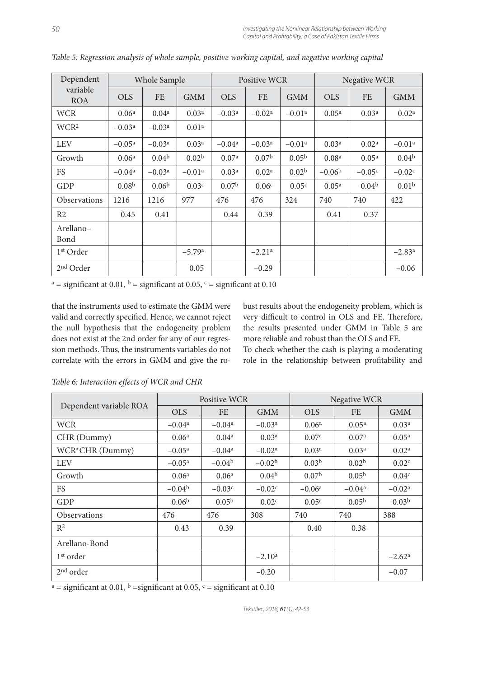| Dependent              | Whole Sample      |                   |                   |                   | <b>Positive WCR</b>  |                   |                   | <b>Negative WCR</b> |                      |  |
|------------------------|-------------------|-------------------|-------------------|-------------------|----------------------|-------------------|-------------------|---------------------|----------------------|--|
| variable<br><b>ROA</b> | <b>OLS</b>        | <b>FE</b>         | <b>GMM</b>        | <b>OLS</b>        | <b>FE</b>            | <b>GMM</b>        | <b>OLS</b>        | <b>FE</b>           | <b>GMM</b>           |  |
| <b>WCR</b>             | 0.06 <sup>a</sup> | 0.04 <sup>a</sup> | 0.03 <sup>a</sup> | $-0.03a$          | $-0.02a$             | $-0.01a$          | 0.05 <sup>a</sup> | 0.03 <sup>a</sup>   | 0.02 <sup>a</sup>    |  |
| WCR <sup>2</sup>       | $-0.03a$          | $-0.03a$          | 0.01 <sup>a</sup> |                   |                      |                   |                   |                     |                      |  |
| <b>LEV</b>             | $-0.05^{\rm a}$   | $-0.03a$          | 0.03 <sup>a</sup> | $-0.04a$          | $-0.03a$             | $-0.01a$          | 0.03 <sup>a</sup> | 0.02 <sup>a</sup>   | $-0.01a$             |  |
| Growth                 | 0.06 <sup>a</sup> | 0.04 <sup>b</sup> | 0.02 <sup>b</sup> | 0.07 <sup>a</sup> | 0.07 <sup>b</sup>    | 0.05 <sup>b</sup> | 0.08 <sup>a</sup> | 0.05 <sup>a</sup>   | 0.04 <sup>b</sup>    |  |
| <b>FS</b>              | $-0.04a$          | $-0.03a$          | $-0.01a$          | 0.03 <sup>a</sup> | 0.02 <sup>a</sup>    | 0.02 <sup>b</sup> | $-0.06b$          | $-0.05c$            | $-0.02c$             |  |
| GDP                    | 0.08 <sup>b</sup> | 0.06 <sup>b</sup> | 0.03 <sup>c</sup> | 0.07 <sup>b</sup> | 0.06 <sup>c</sup>    | 0.05 <sup>c</sup> | 0.05 <sup>a</sup> | 0.04 <sup>b</sup>   | 0.01 <sup>b</sup>    |  |
| <b>Observations</b>    | 1216              | 1216              | 977               | 476               | 476                  | 324               | 740               | 740                 | 422                  |  |
| R <sub>2</sub>         | 0.45              | 0.41              |                   | 0.44              | 0.39                 |                   | 0.41              | 0.37                |                      |  |
| Arellano-<br>Bond      |                   |                   |                   |                   |                      |                   |                   |                     |                      |  |
| 1 <sup>st</sup> Order  |                   |                   | $-5.79a$          |                   | $-2.21$ <sup>a</sup> |                   |                   |                     | $-2.83$ <sup>a</sup> |  |
| 2 <sup>nd</sup> Order  |                   |                   | 0.05              |                   | $-0.29$              |                   |                   |                     | $-0.06$              |  |

*Table 5: Regression analysis of whole sample, positive working capital, and negative working capital*

<sup>a</sup> = significant at 0.01, <sup>b</sup> = significant at 0.05, <sup>c</sup> = significant at 0.10

that the instruments used to estimate the GMM were valid and correctly specified. Hence, we cannot reject the null hypothesis that the endogeneity problem does not exist at the 2nd order for any of our regression methods. Thus, the instruments variables do not correlate with the errors in GMM and give the ro-

bust results about the endogeneity problem, which is very difficult to control in OLS and FE. Therefore, the results presented under GMM in Table 5 are more reliable and robust than the OLS and FE.

To check whether the cash is playing a moderating role in the relationship between profitability and

|                        |                   | <b>Positive WCR</b> |                   | <b>Negative WCR</b> |                   |                   |  |
|------------------------|-------------------|---------------------|-------------------|---------------------|-------------------|-------------------|--|
| Dependent variable ROA | <b>OLS</b>        | <b>FE</b>           | <b>GMM</b>        | <b>OLS</b>          | <b>FE</b>         | <b>GMM</b>        |  |
| <b>WCR</b>             | $-0.04a$          | $-0.04a$            | $-0.03a$          | 0.06 <sup>a</sup>   | 0.05 <sup>a</sup> | 0.03 <sup>a</sup> |  |
| CHR (Dummy)            | 0.06 <sup>a</sup> | 0.04 <sup>a</sup>   | 0.03 <sup>a</sup> | 0.07 <sup>a</sup>   | 0.07 <sup>a</sup> | 0.05 <sup>a</sup> |  |
| WCR*CHR (Dummy)        | $-0.05^{\rm a}$   | $-0.04a$            | $-0.02a$          | 0.03 <sup>a</sup>   | 0.03 <sup>a</sup> | 0.02 <sup>a</sup> |  |
| <b>LEV</b>             | $-0.05^{\rm a}$   | $-0.04b$            | $-0.02b$          | 0.03 <sup>b</sup>   | 0.02 <sup>b</sup> | 0.02 <sup>c</sup> |  |
| Growth                 | 0.06 <sup>a</sup> | 0.06 <sup>a</sup>   | 0.04 <sup>b</sup> | 0.07 <sup>b</sup>   | 0.05 <sup>b</sup> | 0.04 <sup>c</sup> |  |
| <b>FS</b>              | $-0.04b$          | $-0.03c$            | $-0.02c$          | $-0.06a$            | $-0.04^{\rm a}$   | $-0.02a$          |  |
| GDP                    | 0.06 <sup>b</sup> | 0.05 <sup>b</sup>   | 0.02 <sup>c</sup> | 0.05 <sup>a</sup>   | 0.05 <sup>b</sup> | 0.03 <sup>b</sup> |  |
| <b>Observations</b>    | 476               | 476                 | 308               | 740                 | 740               | 388               |  |
| $R^2$                  | 0.43              | 0.39                |                   | 0.40                | 0.38              |                   |  |
| Arellano-Bond          |                   |                     |                   |                     |                   |                   |  |
| 1 <sup>st</sup> order  |                   |                     | $-2.10^a$         |                     |                   | $-2.62^{\rm a}$   |  |
| 2 <sup>nd</sup> order  |                   |                     | $-0.20$           |                     |                   | $-0.07$           |  |

Table 6: Interaction effects of WCR and CHR

<sup>a</sup> = significant at 0.01, <sup>b</sup> = significant at 0.05, <sup>c</sup> = significant at 0.10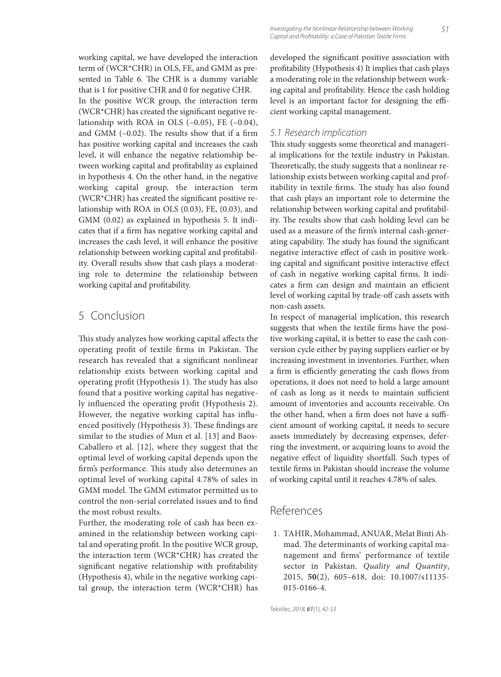working capital, we have developed the interaction term of (WCR\*CHR) in OLS, FE, and GMM as presented in Table 6. The CHR is a dummy variable that is 1 for positive CHR and 0 for negative CHR. In the positive WCR group, the interaction term (WCR $*$ CHR) has created the significant negative relationship with ROA in OLS  $(-0.05)$ , FE  $(-0.04)$ , and GMM  $(-0.02)$ . The results show that if a firm has positive working capital and increases the cash level, it will enhance the negative relationship between working capital and profitability as explained in hypothesis 4. On the other hand, in the negative working capital group, the interaction term (WCR $*$ CHR) has created the significant positive relationship with ROA in OLS (0.03), FE, (0.03), and GMM (0.02) as explained in hypothesis 5. It indicates that if a firm has negative working capital and increases the cash level, it will enhance the positive relationship between working capital and profitability. Overall results show that cash plays a moderating role to determine the relationship between working capital and profitability.

# 5 Conclusion

This study analyzes how working capital affects the operating profit of textile firms in Pakistan. The research has revealed that a significant nonlinear relationship exists between working capital and operating profit (Hypothesis 1). The study has also found that a positive working capital has negatively influenced the operating profit (Hypothesis 2). However, the negative working capital has influenced positively (Hypothesis 3). These findings are similar to the studies of Mun et al. [13] and Baos-Caballero et al. [12], where they suggest that the optimal level of working capital depends upon the firm's performance. This study also determines an optimal level of working capital 4.78% of sales in GMM model. The GMM estimator permitted us to control the non-serial correlated issues and to find the most robust results.

Further, the moderating role of cash has been examined in the relationship between working capital and operating profit. In the positive WCR group, the interaction term (WCR\*CHR) has created the significant negative relationship with profitability (Hypothesis 4), while in the negative working capital group, the interaction term (WCR\*CHR) has

Investigating the Nonlinear Relationship between Working 51 Capital and Profitability: a Case of Pakistan Textile Firms

developed the significant positive association with profitability (Hypothesis 4) It implies that cash plays a moderating role in the relationship between working capital and profitability. Hence the cash holding level is an important factor for designing the efficient working capital management.

#### 5.1 Research implication

This study suggests some theoretical and managerial implications for the textile industry in Pakistan. Theoretically, the study suggests that a nonlinear relationship exists between working capital and profitability in textile firms. The study has also found that cash plays an important role to determine the relationship between working capital and profitability. The results show that cash holding level can be used as a measure of the firm's internal cash-generating capability. The study has found the significant negative interactive effect of cash in positive working capital and significant positive interactive effect of cash in negative working capital firms. It indicates a firm can design and maintain an efficient level of working capital by trade-off cash assets with non-cash assets.

In respect of managerial implication, this research suggests that when the textile firms have the positive working capital, it is better to ease the cash conversion cycle either by paying suppliers earlier or by increasing investment in inventories. Further, when a firm is efficiently generating the cash flows from operations, it does not need to hold a large amount of cash as long as it needs to maintain sufficient amount of inventories and accounts receivable. On the other hand, when a firm does not have a sufficient amount of working capital, it needs to secure assets immediately by decreasing expenses, deferring the investment, or acquiring loans to avoid the negative effect of liquidity shortfall. Such types of textile firms in Pakistan should increase the volume of working capital until it reaches 4.78% of sales.

### References

 1. TAHIR, Mohammad, ANUAR, Melat Binti Ahmad. The determinants of working capital management and firms' performance of textile sector in Pakistan. *Quality and Quantity*, 2015, **50**(2), 605–618, doi: 10.1007/s11135- 015-0166-4.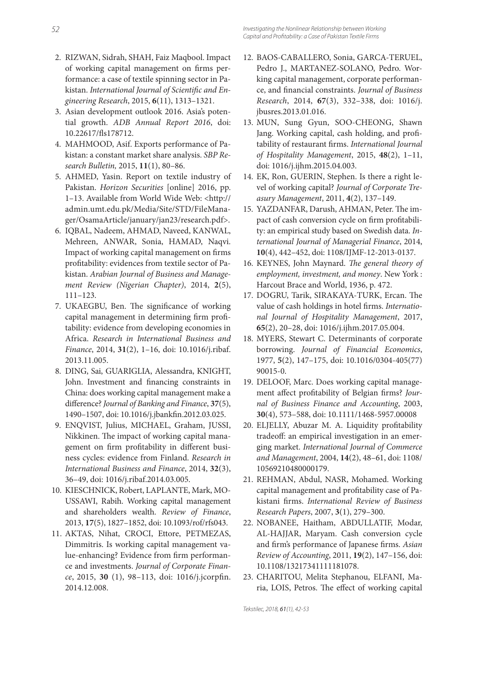- 2. RIZWAN, Sidrah, SHAH, Faiz Maqbool. Impact of working capital management on firms performance: a case of textile spinning sector in Pakistan. International Journal of Scientific and En*gineering Research*, 2015, **6**(11), 1313–1321.
- 3. Asian development outlook 2016. Asia's potential growth. *ADB Annual Report 2016*, doi: 10.22617/fls178712.
- 4. MAHMOOD, Asif. Exports performance of Pakistan: a constant market share analysis. *SBP Research Bulletin,* 2015, **11**(1), 80–86.
- 5. AHMED, Yasin. Report on textile industry of Pakistan. *Horizon Securities* [online] 2016, pp. 1–13. Available from World Wide Web: <http:// admin.umt.edu.pk/Media/Site/STD/FileManager/OsamaArticle/january/jan23/research.pdf>.
- 6. IQBAL, Nadeem, AHMAD, Naveed, KANWAL, Mehreen, ANWAR, Sonia, HAMAD, Naqvi. Impact of working capital management on firms profitability: evidences from textile sector of Pakistan. *Arabian Journal of Business and Management Review (Nigerian Chapter)*, 2014, **2**(5), 111–123.
- 7. UKAEGBU, Ben. The significance of working capital management in determining firm profitability: evidence from developing economies in Africa. *Research in International Business and Finance*, 2014, **31**(2), 1–16, doi: 10.1016/j.ribaf. 2013.11.005.
- 8. DING, Sai, GUARIGLIA, Alessandra, KNIGHT, John. Investment and financing constraints in China: does working capital management make a difference? *Journal of Banking and Finance*, 37(5), 1490-1507, doi: 10.1016/j.jbankfin.2012.03.025.
- 9. ENQVIST, Julius, MICHAEL, Graham, JUSSI, Nikkinen. The impact of working capital management on firm profitability in different business cycles: evidence from Finland. *Research in International Business and Finance*, 2014, **32**(3), 36–49, doi: 1016/j.ribaf.2014.03.005.
- 10. KIESCHNICK, Robert, LAPLANTE, Mark, MO-USSAWI, Rabih. Working capital management and shareholders wealth. *Review of Finance*, 2013, **17**(5), 1827–1852, doi: 10.1093/rof/rfs043.
- 11. AKTAS, Nihat, CROCI, Ettore, PETMEZAS, Dimmitris. Is working capital management value-enhancing? Evidence from firm performance and investments. *Journal of Corporate Finance*, 2015, 30 (1), 98-113, doi: 1016/j.jcorpfin. 2014.12.008.
- 12. BAOS-CABALLERO, Sonia, GARCA-TERUEL, Pedro J., MARTANEZ-SOLANO, Pedro. Working capital management, corporate performance, and financial constraints. *Journal of Business Research*, 2014, **67**(3), 332–338, doi: 1016/j. jbusres.2013.01.016.
- 13. MUN, Sung Gyun, SOO-CHEONG, Shawn Jang. Working capital, cash holding, and profitability of restaurant firms. *International Journal of Hospitality Management*, 2015, **48**(2), 1–11, doi: 1016/j.ijhm.2015.04.003.
- 14. EK, Ron, GUERIN, Stephen. Is there a right level of working capital? *Journal of Corporate Treasury Management*, 2011, **4**(2), 137–149.
- 15. YAZDANFAR, Darush, AHMAN, Peter. The impact of cash conversion cycle on firm profitability: an empirical study based on Swedish data. *International Journal of Managerial Finance*, 2014, **10**(4), 442–452, doi: 1108/IJMF-12-2013-0137.
- 16. KEYNES, John Maynard. *The general theory of employment, investment, and money*. New York : Harcout Brace and World, 1936, p. 472.
- 17. DOGRU, Tarik, SIRAKAYA-TURK, Ercan. The value of cash holdings in hotel firms. *International Journal of Hospitality Management*, 2017, **65**(2), 20–28, doi: 1016/j.ijhm.2017.05.004.
- 18. MYERS, Stewart C. Determinants of corporate borrowing. *Journal of Financial Economics*, 1977, **5**(2), 147–175, doi: 10.1016/0304-405(77) 90015-0.
- 19. DELOOF, Marc. Does working capital management affect profitability of Belgian firms? *Journal of Business Finance and Accounting*, 2003, **30**(4), 573–588, doi: 10.1111/1468-5957.00008
- 20. ELJELLY, Abuzar M. A. Liquidity profitability tradeoff: an empirical investigation in an emerging market. *International Journal of Commerce and Management*, 2004, **14**(2), 48–61, doi: 1108/ 10569210480000179.
- 21. REHMAN, Abdul, NASR, Mohamed. Working capital management and profitability case of Pakistani fi rms. *International Review of Business Research Papers*, 2007, **3**(1), 279–300.
- 22. NOBANEE, Haitham, ABDULLATIF, Modar, AL-HAJJAR, Maryam. Cash conversion cycle and firm's performance of Japanese firms. Asian *Review of Accounting*, 2011, **19**(2), 147–156, doi: 10.1108/13217341111181078.
- 23. CHARITOU, Melita Stephanou, ELFANI, Maria, LOIS, Petros. The effect of working capital

Tekstilec, 2018, 61(1), 42-53 Tekstilec, 2018, 61(1), 42-53